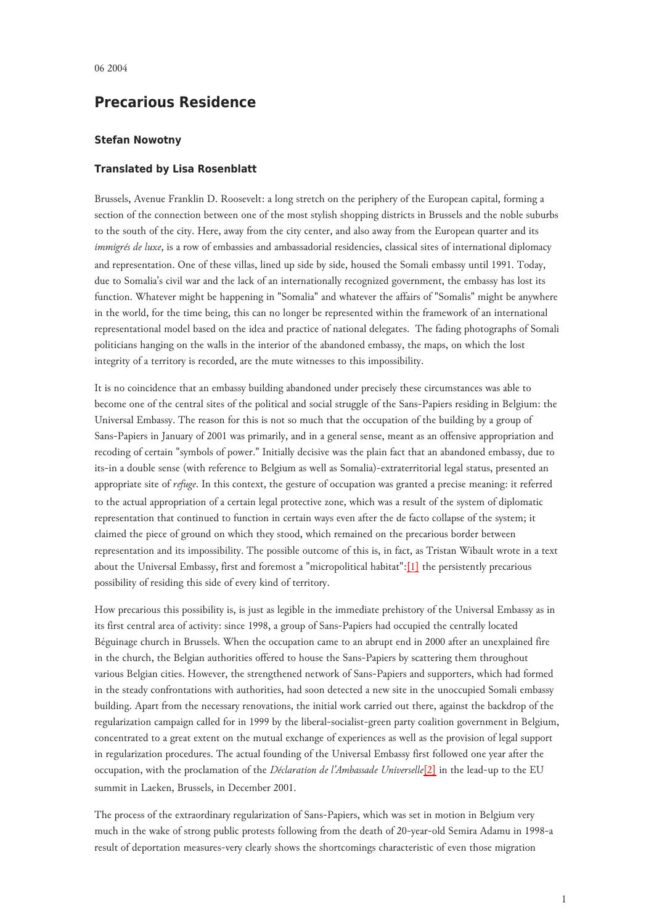## **Precarious Residence**

## **Stefan Nowotny**

## **Translated by Lisa Rosenblatt**

Brussels, Avenue Franklin D. Roosevelt: a long stretch on the periphery of the European capital, forming a section of the connection between one of the most stylish shopping districts in Brussels and the noble suburbs to the south of the city. Here, away from the city center, and also away from the European quarter and its *immigrés de luxe*, is a row of embassies and ambassadorial residencies, classical sites of international diplomacy and representation. One of these villas, lined up side by side, housed the Somali embassy until 1991. Today, due to Somalia's civil war and the lack of an internationally recognized government, the embassy has lost its function. Whatever might be happening in "Somalia" and whatever the affairs of "Somalis" might be anywhere in the world, for the time being, this can no longer be represented within the framework of an international representational model based on the idea and practice of national delegates. The fading photographs of Somali politicians hanging on the walls in the interior of the abandoned embassy, the maps, on which the lost integrity of a territory is recorded, are the mute witnesses to this impossibility.

<span id="page-0-0"></span>It is no coincidence that an embassy building abandoned under precisely these circumstances was able to become one of the central sites of the political and social struggle of the Sans-Papiers residing in Belgium: the Universal Embassy. The reason for this is not so much that the occupation of the building by a group of Sans-Papiers in January of 2001 was primarily, and in a general sense, meant as an offensive appropriation and recoding of certain "symbols of power." Initially decisive was the plain fact that an abandoned embassy, due to its-in a double sense (with reference to Belgium as well as Somalia)-extraterritorial legal status, presented an appropriate site of *refuge*. In this context, the gesture of occupation was granted a precise meaning: it referred to the actual appropriation of a certain legal protective zone, which was a result of the system of diplomatic representation that continued to function in certain ways even after the de facto collapse of the system; it claimed the piece of ground on which they stood, which remained on the precarious border between representation and its impossibility. The possible outcome of this is, in fact, as Tristan Wibault wrote in a text about the Universal Embassy, first and foremost a "micropolitical habitat":[\[1\]](#page-2-0) the persistently precarious possibility of residing this side of every kind of territory.

<span id="page-0-1"></span>How precarious this possibility is, is just as legible in the immediate prehistory of the Universal Embassy as in its first central area of activity: since 1998, a group of Sans-Papiers had occupied the centrally located Béguinage church in Brussels. When the occupation came to an abrupt end in 2000 after an unexplained fire in the church, the Belgian authorities offered to house the Sans-Papiers by scattering them throughout various Belgian cities. However, the strengthened network of Sans-Papiers and supporters, which had formed in the steady confrontations with authorities, had soon detected a new site in the unoccupied Somali embassy building. Apart from the necessary renovations, the initial work carried out there, against the backdrop of the regularization campaign called for in 1999 by the liberal-socialist-green party coalition government in Belgium, concentrated to a great extent on the mutual exchange of experiences as well as the provision of legal support in regularization procedures. The actual founding of the Universal Embassy first followed one year after the occupation, with the proclamation of the *Déclaration de l'Ambassade Universelle*[\[2\]](#page-2-1) in the lead-up to the EU summit in Laeken, Brussels, in December 2001.

The process of the extraordinary regularization of Sans-Papiers, which was set in motion in Belgium very much in the wake of strong public protests following from the death of 20-year-old Semira Adamu in 1998-a result of deportation measures-very clearly shows the shortcomings characteristic of even those migration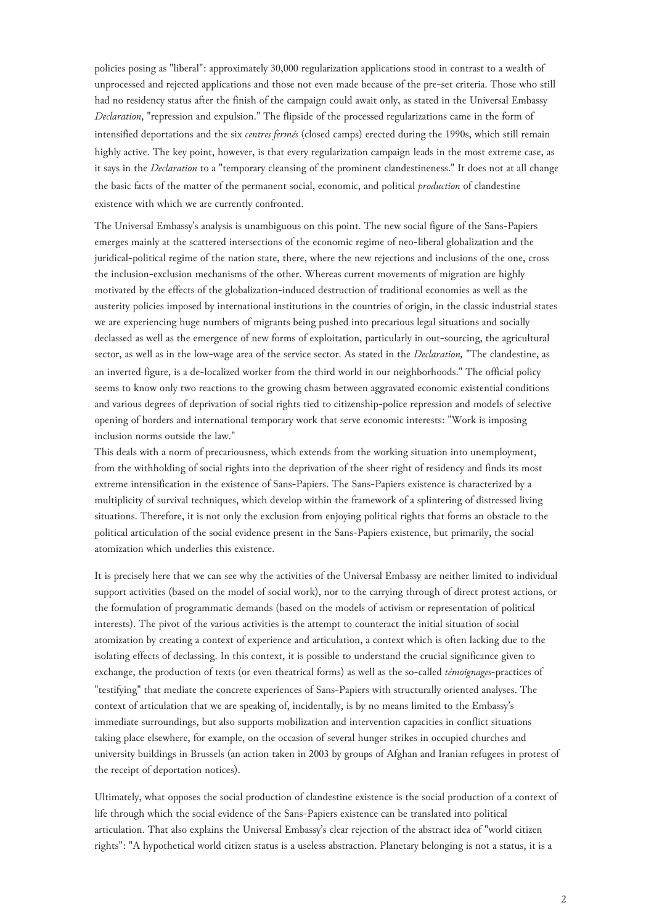policies posing as "liberal": approximately 30,000 regularization applications stood in contrast to a wealth of unprocessed and rejected applications and those not even made because of the pre-set criteria. Those who still had no residency status after the finish of the campaign could await only, as stated in the Universal Embassy *Declaration*, "repression and expulsion." The flipside of the processed regularizations came in the form of intensified deportations and the six *centres fermés* (closed camps) erected during the 1990s, which still remain highly active. The key point, however, is that every regularization campaign leads in the most extreme case, as it says in the *Declaration* to a "temporary cleansing of the prominent clandestineness." It does not at all change the basic facts of the matter of the permanent social, economic, and political *production* of clandestine existence with which we are currently confronted.

The Universal Embassy's analysis is unambiguous on this point. The new social figure of the Sans-Papiers emerges mainly at the scattered intersections of the economic regime of neo-liberal globalization and the juridical-political regime of the nation state, there, where the new rejections and inclusions of the one, cross the inclusion-exclusion mechanisms of the other. Whereas current movements of migration are highly motivated by the effects of the globalization-induced destruction of traditional economies as well as the austerity policies imposed by international institutions in the countries of origin, in the classic industrial states we are experiencing huge numbers of migrants being pushed into precarious legal situations and socially declassed as well as the emergence of new forms of exploitation, particularly in out-sourcing, the agricultural sector, as well as in the low-wage area of the service sector. As stated in the *Declaration,* "The clandestine, as an inverted figure, is a de-localized worker from the third world in our neighborhoods." The official policy seems to know only two reactions to the growing chasm between aggravated economic existential conditions and various degrees of deprivation of social rights tied to citizenship-police repression and models of selective opening of borders and international temporary work that serve economic interests: "Work is imposing inclusion norms outside the law."

This deals with a norm of precariousness, which extends from the working situation into unemployment, from the withholding of social rights into the deprivation of the sheer right of residency and finds its most extreme intensification in the existence of Sans-Papiers. The Sans-Papiers existence is characterized by a multiplicity of survival techniques, which develop within the framework of a splintering of distressed living situations. Therefore, it is not only the exclusion from enjoying political rights that forms an obstacle to the political articulation of the social evidence present in the Sans-Papiers existence, but primarily, the social atomization which underlies this existence.

It is precisely here that we can see why the activities of the Universal Embassy are neither limited to individual support activities (based on the model of social work), nor to the carrying through of direct protest actions, or the formulation of programmatic demands (based on the models of activism or representation of political interests). The pivot of the various activities is the attempt to counteract the initial situation of social atomization by creating a context of experience and articulation, a context which is often lacking due to the isolating effects of declassing. In this context, it is possible to understand the crucial significance given to exchange, the production of texts (or even theatrical forms) as well as the so-called *témoignages*-practices of "testifying" that mediate the concrete experiences of Sans-Papiers with structurally oriented analyses. The context of articulation that we are speaking of, incidentally, is by no means limited to the Embassy's immediate surroundings, but also supports mobilization and intervention capacities in conflict situations taking place elsewhere, for example, on the occasion of several hunger strikes in occupied churches and university buildings in Brussels (an action taken in 2003 by groups of Afghan and Iranian refugees in protest of the receipt of deportation notices).

<span id="page-1-0"></span>Ultimately, what opposes the social production of clandestine existence is the social production of a context of life through which the social evidence of the Sans-Papiers existence can be translated into political articulation. That also explains the Universal Embassy's clear rejection of the abstract idea of "world citizen rights": "A hypothetical world citizen status is a useless abstraction. Planetary belonging is not a status, it is a